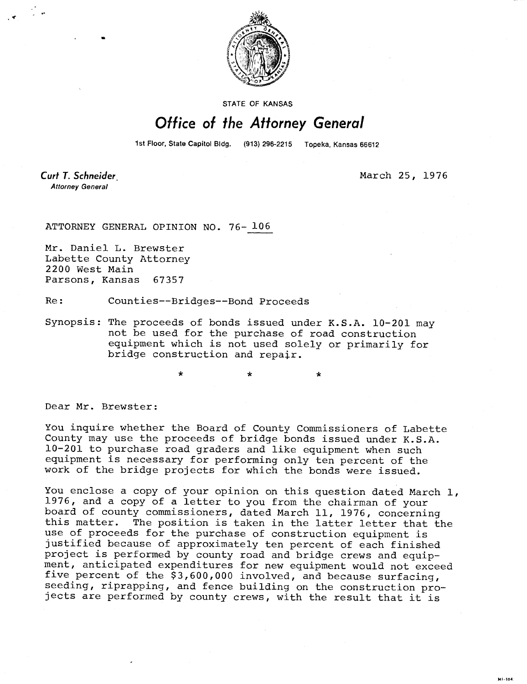

STATE OF KANSAS

## Office of the Attorney General

1st Floor, State Capitol Bldg. (913) 296-2215 Topeka, Kansas 66612

Curt T. Schneider **Attorney General** 

March 25, 1976

**M1-104** 

ATTORNEY GENERAL OPINION NO. 76- 106

Mr. Daniel L. Brewster Labette County Attorney 2200 West Main Parsons, Kansas 67357

Re: Counties--Bridges--Bond Proceeds

\*

Synopsis: The proceeds of bonds issued under K.S.A. 10-201 may not be used for the purchase of road construction equipment which is not used solely or primarily for bridge construction and repair.

Dear Mr. Brewster:

You inquire whether the Board of County Commissioners of Labette County may use the proceeds of bridge bonds issued under K.S.A. 10-201 to purchase road graders and like equipment when such equipment is necessary for performing only ten percent of the work of the bridge projects for which the bonds were issued.

You enclose a copy of your opinion on this question dated March 1, 1976, and a copy of a letter to you from the chairman of your board of county commissioners, dated March 11, 1976, concerning<br>this matter. The position is taken in the latter letter that the The position is taken in the latter letter that the use of proceeds for the purchase of construction equipment is justified because of approximately ten percent of each finished project is performed by county road and bridge crews and equipment, anticipated expenditures for new equipment would not exceed five percent of the \$3,600,000 involved, and because surfacing, seeding, riprapping, and fence building on the construction projects are performed by county crews, with the result that it is